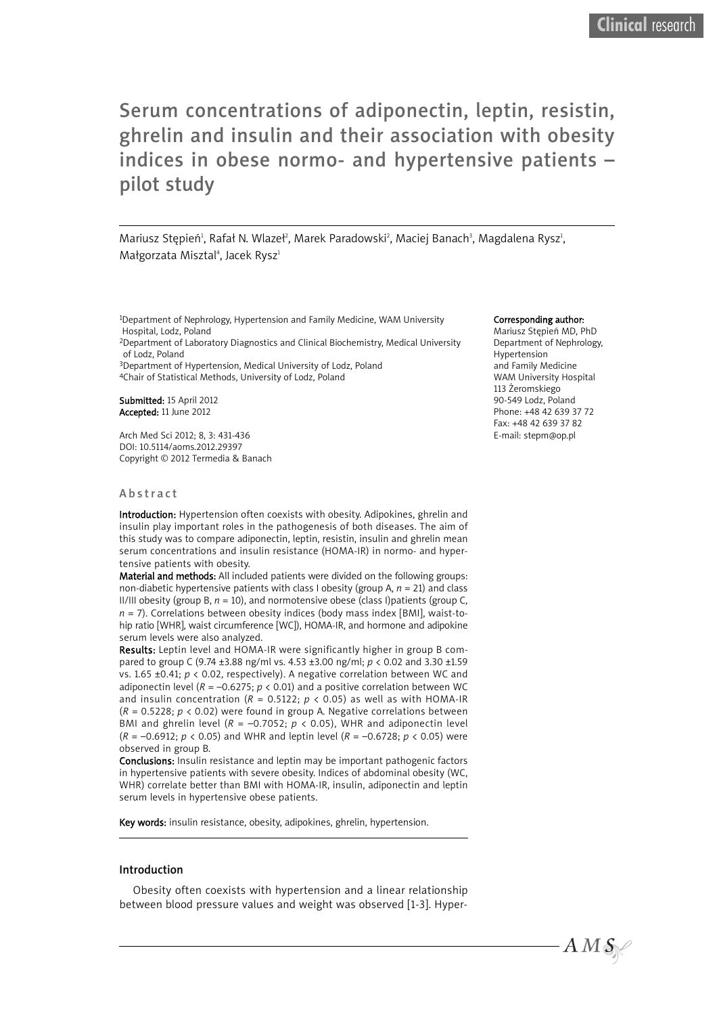# Serum concentrations of adiponectin, leptin, resistin, ghrelin and insulin and their association with obesity indices in obese normo- and hypertensive patients – pilot study

Mariusz Stępień<sup>ı</sup>, Rafał N. Wlazeł?, Marek Paradowski<sup>2</sup>, Maciej Banach<sup>3</sup>, Magdalena Rysz<sup>ı</sup>, Małgorzata Misztal<sup>4</sup>, Jacek Rysz<sup>1</sup>

1Department of Nephrology, Hypertension and Family Medicine, WAM University Hospital, Lodz, Poland 2Department of Laboratory Diagnostics and Clinical Biochemistry, Medical University

of Lodz, Poland

3Department of Hypertension, Medical University of Lodz, Poland 4Chair of Statistical Methods, University of Lodz, Poland

Submitted: 15 April 2012 Accepted: 11 June 2012

Arch Med Sci 2012; 8, 3: 431-436 DOI: 10.5114/aoms.2012.29397 Copyright © 2012 Termedia & Banach

#### Abstract

Introduction: Hypertension often coexists with obesity. Adipokines, ghrelin and insulin play important roles in the pathogenesis of both diseases. The aim of this study was to compare adiponectin, leptin, resistin, insulin and ghrelin mean serum concentrations and insulin resistance (HOMA-IR) in normo- and hypertensive patients with obesity.

Material and methods: All included patients were divided on the following groups: non-diabetic hypertensive patients with class I obesity (group A, *n* = 21) and class II/III obesity (group B, *n* = 10), and normotensive obese (class I)patients (group C, *n* = 7). Correlations between obesity indices (body mass index [BMI], waist-tohip ratio [WHR], waist circumference [WC]), HOMA-IR, and hormone and adipokine serum levels were also analyzed.

Results: Leptin level and HOMA-IR were significantly higher in group B compared to group C (9.74 ±3.88 ng/ml vs. 4.53 ±3.00 ng/ml; *p* < 0.02 and 3.30 ±1.59 vs. 1.65 ±0.41; *p* < 0.02, respectively). A negative correlation between WC and adiponectin level (*R* = –0.6275; *p* < 0.01) and a positive correlation between WC and insulin concentration ( $R = 0.5122$ ;  $p \lt 0.05$ ) as well as with HOMA-IR (*R* = 0.5228; *p* < 0.02) were found in group A. Negative correlations between BMI and ghrelin level ( $R = -0.7052$ ;  $p < 0.05$ ), WHR and adiponectin level (*R* = –0.6912; *p* < 0.05) and WHR and leptin level (*R* = –0.6728; *p* < 0.05) were observed in group B.

Conclusions: Insulin resistance and leptin may be important pathogenic factors in hypertensive patients with severe obesity. Indices of abdominal obesity (WC, WHR) correlate better than BMI with HOMA-IR, insulin, adiponectin and leptin serum levels in hypertensive obese patients.

Key words: insulin resistance, obesity, adipokines, ghrelin, hypertension.

### Introduction

Obesity often coexists with hypertension and a linear relationship between blood pressure values and weight was observed [1-3]. Hyper-

#### Corresponding author:

Mariusz Stępień MD, PhD Department of Nephrology, Hypertension and Family Medicine WAM University Hospital 113 Żeromskiego 90-549 Lodz, Poland Phone: +48 42 639 37 72 Fax: +48 42 639 37 82 E-mail: stepm@op.pl

 $AMS$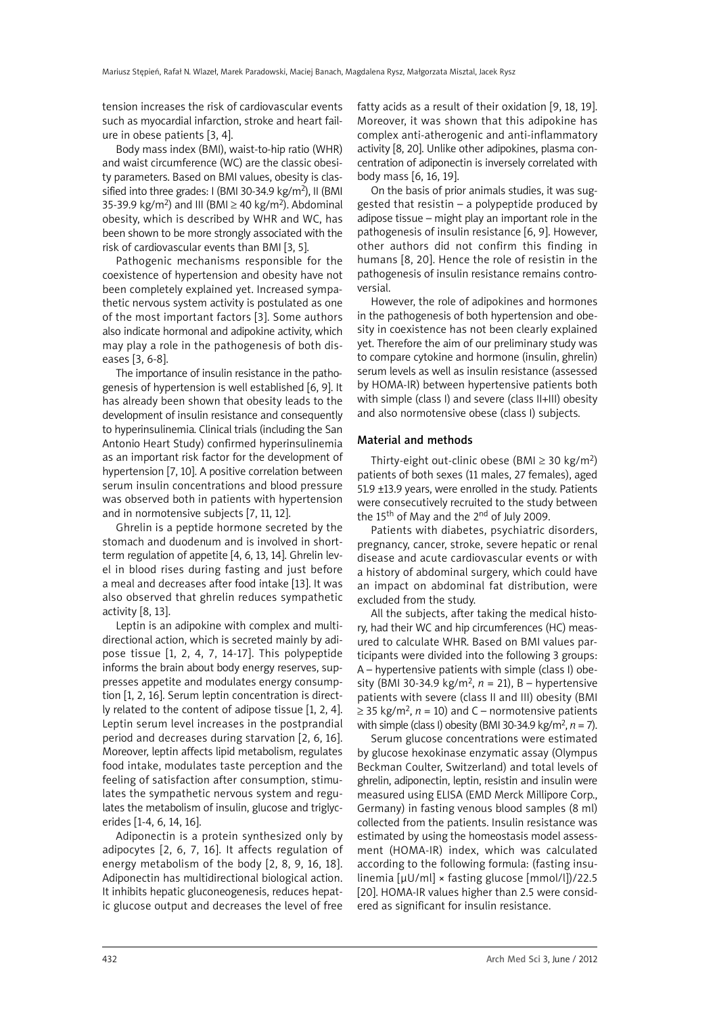tension increases the risk of cardiovascular events such as myocardial infarction, stroke and heart failure in obese patients [3, 4].

Body mass index (BMI), waist-to-hip ratio (WHR) and waist circumference (WC) are the classic obesity parameters. Based on BMI values, obesity is classified into three grades: I (BMI 30-34.9 kg/m<sup>2</sup>), II (BMI 35-39.9 kg/m<sup>2</sup>) and III (BMI  $\geq$  40 kg/m<sup>2</sup>). Abdominal obesity, which is described by WHR and WC, has been shown to be more strongly associated with the risk of cardiovascular events than BMI [3, 5].

Pathogenic mechanisms responsible for the coexistence of hypertension and obesity have not been completely explained yet. Increased sympathetic nervous system activity is postulated as one of the most important factors [3]. Some authors also indicate hormonal and adipokine activity, which may play a role in the pathogenesis of both diseases [3, 6-8].

The importance of insulin resistance in the pathogenesis of hypertension is well established [6, 9]. It has already been shown that obesity leads to the development of insulin resistance and consequently to hyperinsulinemia. Clinical trials (including the San Antonio Heart Study) confirmed hyperinsulinemia as an important risk factor for the development of hypertension [7, 10]. A positive correlation between serum insulin concentrations and blood pressure was observed both in patients with hypertension and in normotensive subjects [7, 11, 12].

Ghrelin is a peptide hormone secreted by the stomach and duodenum and is involved in shortterm regulation of appetite [4, 6, 13, 14]. Ghrelin level in blood rises during fasting and just before a meal and decreases after food intake [13]. It was also observed that ghrelin reduces sympathetic activity [8, 13].

Leptin is an adipokine with complex and multidirectional action, which is secreted mainly by adipose tissue [1, 2, 4, 7, 14-17]. This polypeptide informs the brain about body energy reserves, suppresses appetite and modulates energy consumption [1, 2, 16]. Serum leptin concentration is directly related to the content of adipose tissue [1, 2, 4]. Leptin serum level increases in the postprandial period and decreases during starvation [2, 6, 16]. Moreover, leptin affects lipid metabolism, regulates food intake, modulates taste perception and the feeling of satisfaction after consumption, stimulates the sympathetic nervous system and regulates the metabolism of insulin, glucose and triglycerides [1-4, 6, 14, 16].

Adiponectin is a protein synthesized only by adipocytes [2, 6, 7, 16]. It affects regulation of energy metabolism of the body [2, 8, 9, 16, 18]. Adiponectin has multidirectional biological action. It inhibits hepatic gluconeogenesis, reduces hepatic glucose output and decreases the level of free fatty acids as a result of their oxidation [9, 18, 19]. Moreover, it was shown that this adipokine has complex anti-atherogenic and anti-inflammatory activity [8, 20]. Unlike other adipokines, plasma concentration of adiponectin is inversely correlated with body mass [6, 16, 19].

On the basis of prior animals studies, it was suggested that resistin – a polypeptide produced by adipose tissue – might play an important role in the pathogenesis of insulin resistance [6, 9]. However, other authors did not confirm this finding in humans [8, 20]. Hence the role of resistin in the pathogenesis of insulin resistance remains controversial.

However, the role of adipokines and hormones in the pathogenesis of both hypertension and obesity in coexistence has not been clearly explained yet. Therefore the aim of our preliminary study was to compare cytokine and hormone (insulin, ghrelin) serum levels as well as insulin resistance (assessed by HOMA-IR) between hypertensive patients both with simple (class I) and severe (class II+III) obesity and also normotensive obese (class I) subjects.

#### Material and methods

Thirty-eight out-clinic obese (BMI  $\geq$  30 kg/m<sup>2</sup>) patients of both sexes (11 males, 27 females), aged 51.9 ±13.9 years, were enrolled in the study. Patients were consecutively recruited to the study between the 15<sup>th</sup> of May and the 2<sup>nd</sup> of July 2009.

Patients with diabetes, psychiatric disorders, pregnancy, cancer, stroke, severe hepatic or renal disease and acute cardiovascular events or with a history of abdominal surgery, which could have an impact on abdominal fat distribution, were excluded from the study.

All the subjects, after taking the medical history, had their WC and hip circumferences (HC) measured to calculate WHR. Based on BMI values participants were divided into the following 3 groups: A – hypertensive patients with simple (class I) obesity (BMI 30-34.9 kg/m2, *n* = 21), B – hypertensive patients with severe (class II and III) obesity (BMI  $\geq$  35 kg/m<sup>2</sup>, *n* = 10) and C – normotensive patients with simple (class I) obesity (BMI 30-34.9 kg/m2, *n* = 7).

Serum glucose concentrations were estimated by glucose hexokinase enzymatic assay (Olympus Beckman Coulter, Switzerland) and total levels of ghrelin, adiponectin, leptin, resistin and insulin were measured using ELISA (EMD Merck Millipore Corp., Germany) in fasting venous blood samples (8 ml) collected from the patients. Insulin resistance was estimated by using the homeostasis model assessment (HOMA-IR) index, which was calculated according to the following formula: (fasting insulinemia [μU/ml] × fasting glucose [mmol/l])/22.5 [20]. HOMA-IR values higher than 2.5 were considered as significant for insulin resistance.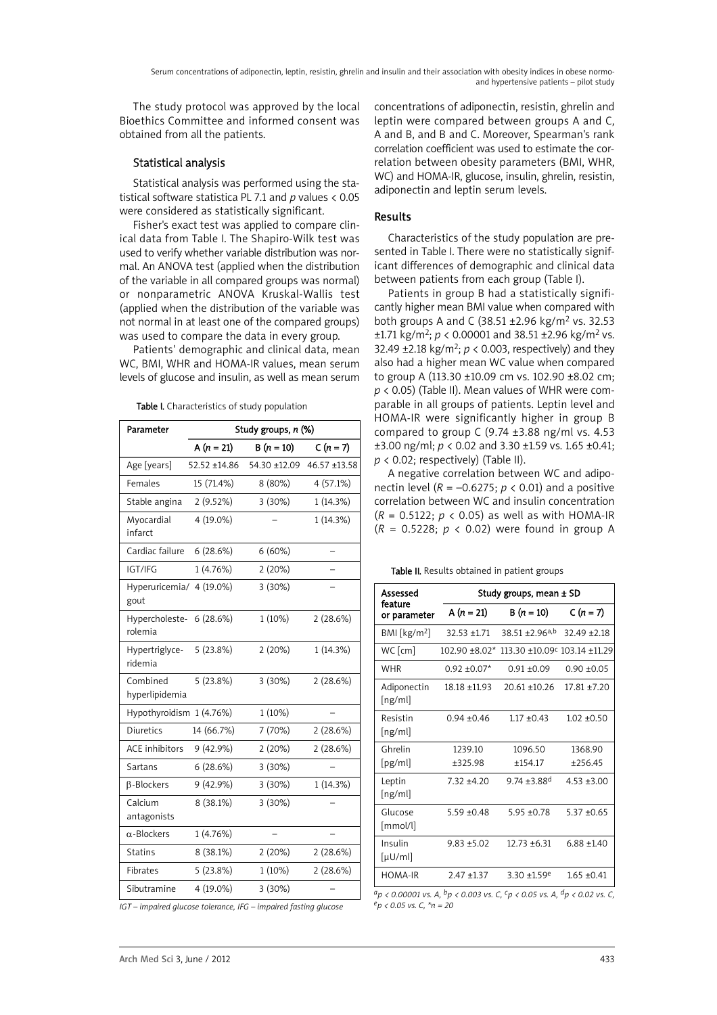The study protocol was approved by the local Bioethics Committee and informed consent was obtained from all the patients.

# Statistical analysis

Statistical analysis was performed using the statistical software statistica PL 7.1 and *p* values < 0.05 were considered as statistically significant.

Fisher's exact test was applied to compare clinical data from Table I. The Shapiro-Wilk test was used to verify whether variable distribution was normal. An ANOVA test (applied when the distribution of the variable in all compared groups was normal) or nonparametric ANOVA Kruskal-Wallis test (applied when the distribution of the variable was not normal in at least one of the compared groups) was used to compare the data in every group.

Patients' demographic and clinical data, mean WC, BMI, WHR and HOMA-IR values, mean serum levels of glucose and insulin, as well as mean serum

| Parameter                           | Study groups, n (%) |              |              |
|-------------------------------------|---------------------|--------------|--------------|
|                                     | A $(n = 21)$        | $B(n = 10)$  | $C(n = 7)$   |
| Age [years]                         | 52.52 ±14.86        | 54.30 ±12.09 | 46.57 ±13.58 |
| Females                             | 15 (71.4%)          | 8 (80%)      | 4 (57.1%)    |
| Stable angina                       | 2 (9.52%)           | 3 (30%)      | 1 (14.3%)    |
| Myocardial<br>infarct               | 4 (19.0%)           |              | 1 (14.3%)    |
| Cardiac failure                     | 6(28.6%)            | 6 (60%)      |              |
| IGT/IFG                             | 1 (4.76%)           | 2 (20%)      |              |
| Hyperuricemia/ 4 (19.0%)<br>gout    |                     | 3 (30%)      |              |
| Hypercholeste- 6 (28.6%)<br>rolemia |                     | 1(10%)       | 2(28.6%)     |
| Hypertriglyce-<br>ridemia           | 5 (23.8%)           | 2 (20%)      | 1 (14.3%)    |
| Combined<br>hyperlipidemia          | 5 (23.8%)           | 3 (30%)      | 2(28.6%)     |
| Hypothyroidism                      | 1(4.76%)            | 1(10%)       |              |
| <b>Diuretics</b>                    | 14 (66.7%)          | 7 (70%)      | 2(28.6%)     |
| <b>ACE</b> inhibitors               | 9 (42.9%)           | 2 (20%)      | 2(28.6%)     |
| Sartans                             | 6(28.6%)            | 3 (30%)      |              |
| $\beta$ -Blockers                   | 9 (42.9%)           | 3 (30%)      | 1 (14.3%)    |
| Calcium<br>antagonists              | 8 (38.1%)           | 3 (30%)      |              |
| $\alpha$ -Blockers                  | 1 (4.76%)           |              |              |
| <b>Statins</b>                      | 8 (38.1%)           | 2 (20%)      | 2 (28.6%)    |
| Fibrates                            | 5(23.8%)            | $1(10\%)$    | 2(28.6%)     |
| Sibutramine                         | 4 (19.0%)           | 3 (30%)      |              |

Table I. Characteristics of study population

*IGT – impaired glucose tolerance, IFG – impaired fasting glucose*

concentrations of adiponectin, resistin, ghrelin and leptin were compared between groups A and C, A and B, and B and C. Moreover, Spearman's rank correlation coefficient was used to estimate the correlation between obesity parameters (BMI, WHR, WC) and HOMA-IR, glucose, insulin, ghrelin, resistin, adiponectin and leptin serum levels.

# Results

Characteristics of the study population are presented in Table I. There were no statistically significant differences of demographic and clinical data between patients from each group (Table I).

Patients in group B had a statistically significantly higher mean BMI value when compared with both groups A and C (38.51 ±2.96 kg/m<sup>2</sup> vs. 32.53  $\pm$ 1.71 kg/m<sup>2</sup>; *p* < 0.00001 and 38.51  $\pm$ 2.96 kg/m<sup>2</sup> vs. 32.49  $\pm$ 2.18 kg/m<sup>2</sup>;  $p < 0.003$ , respectively) and they also had a higher mean WC value when compared to group A (113.30 ±10.09 cm vs. 102.90 ±8.02 cm; *p* < 0.05) (Table II). Mean values of WHR were comparable in all groups of patients. Leptin level and HOMA-IR were significantly higher in group B compared to group C (9.74 ±3.88 ng/ml vs. 4.53 ±3.00 ng/ml; *p* < 0.02 and 3.30 ±1.59 vs. 1.65 ±0.41; *p* < 0.02; respectively) (Table II).

A negative correlation between WC and adiponectin level ( $R = -0.6275$ ;  $p < 0.01$ ) and a positive correlation between WC and insulin concentration (*R* = 0.5122; *p* < 0.05) as well as with HOMA-IR (*R* = 0.5228; *p* < 0.02) were found in group A

Table II. Results obtained in patient groups

| Assessed                                                        | Study groups, mean ± SD |                                          |                 |  |
|-----------------------------------------------------------------|-------------------------|------------------------------------------|-----------------|--|
| feature<br>or parameter                                         | A $(n = 21)$            | $B(n = 10)$                              | $C(n=7)$        |  |
| BM [kg/m <sup>2</sup> ]                                         | $32.53 + 1.71$          | $38.51 + 2.96$ <sup>a,b</sup>            | $32.49 + 2.18$  |  |
| WC [cm]                                                         | $102.90 \pm 8.02^*$     | 113.30 ±10.09 <sup>c</sup> 103.14 ±11.29 |                 |  |
| WHR                                                             | $0.92 + 0.07*$          | $0.91 + 0.09$                            | $0.90 + 0.05$   |  |
| Adiponectin<br>[ng/ml]                                          | 18.18 ±11.93            | $20.61 + 10.26$                          | $17.81 + 7.20$  |  |
| Resistin<br>[ng/ml]                                             | $0.94 \pm 0.46$         | $1.17 + 0.43$                            | $1.02 + 0.50$   |  |
| Ghrelin                                                         | 1239.10                 | 1096.50                                  | 1368.90         |  |
| [pg/ml]                                                         | +325.98                 | $+154.17$                                | $+256.45$       |  |
| Leptin<br>[ng/ml]                                               | $7.32 + 4.20$           | $9.74 + 3.88$ <sup>d</sup>               | $4.53 \pm 3.00$ |  |
| Glucose<br>[mmol/l]                                             | $5.59 + 0.48$           | $5.95 + 0.78$                            | $5.37 + 0.65$   |  |
| Insulin<br>$\lceil \mu \mathsf{U}/\mathsf{m} \mathsf{I} \rceil$ | $9.83 + 5.02$           | $12.73 + 6.31$                           | $6.88 + 1.40$   |  |
| <b>HOMA-IR</b>                                                  | $2.47 + 1.37$           | $3.30 + 1.59e$                           | $1.65 \pm 0.41$ |  |

*ap < 0.00001 vs. A, bp < 0.003 vs. C, cp < 0.05 vs. A, dp < 0.02 vs. C, ep < 0.05 vs. C, \*n = 20*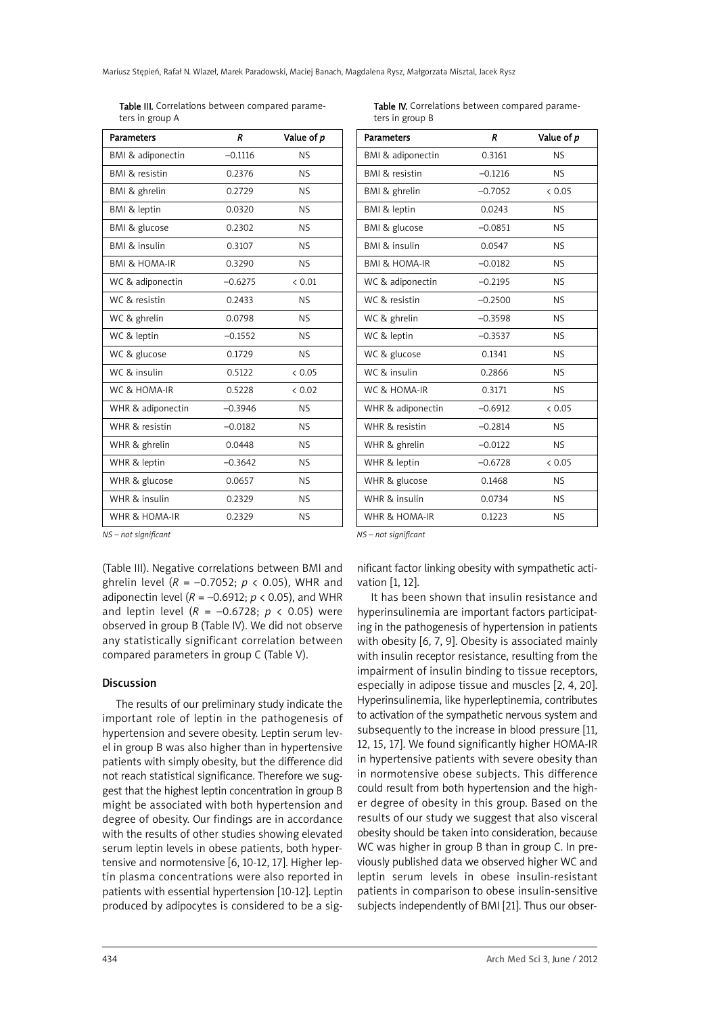Mariusz Stępień, Rafał N. Wlazeł, Marek Paradowski, Maciej Banach, Magdalena Rysz, Małgorzata Misztal, Jacek Rysz

Table III. Correlations between compared parameters in group A

| <b>Parameters</b>         | R         | Value of p |
|---------------------------|-----------|------------|
| BMI & adiponectin         | $-0.1116$ | <b>NS</b>  |
| <b>BMI &amp; resistin</b> | 0.2376    | <b>NS</b>  |
| BMI & ghrelin             | 0.2729    | <b>NS</b>  |
| BMI & leptin              | 0.0320    | <b>NS</b>  |
| BMI & glucose             | 0.2302    | <b>NS</b>  |
| BMI & insulin             | 0.3107    | <b>NS</b>  |
| <b>BMI &amp; HOMA-IR</b>  | 0.3290    | <b>NS</b>  |
| WC & adiponectin          | $-0.6275$ | & 0.01     |
| WC & resistin             | 0.2433    | <b>NS</b>  |
| WC & ghrelin              | 0.0798    | <b>NS</b>  |
| WC & leptin               | $-0.1552$ | <b>NS</b>  |
| WC & glucose              | 0.1729    | <b>NS</b>  |
| WC & insulin              | 0.5122    | & 0.05     |
| WC & HOMA-IR              | 0.5228    | & 0.02     |
| WHR & adiponectin         | $-0.3946$ | <b>NS</b>  |
| WHR & resistin            | $-0.0182$ | <b>NS</b>  |
| WHR & ghrelin             | 0.0448    | <b>NS</b>  |
| WHR & leptin              | $-0.3642$ | <b>NS</b>  |
| WHR & glucose             | 0.0657    | <b>NS</b>  |
| WHR & insulin             | 0.2329    | <b>NS</b>  |
| WHR & HOMA-IR             | 0.2329    | <b>NS</b>  |

Table IV. Correlations between compared parameters in group B

| <b>Parameters</b>         | R         | Value of p |
|---------------------------|-----------|------------|
| BMI & adiponectin         | 0.3161    | <b>NS</b>  |
| <b>BMI &amp; resistin</b> | $-0.1216$ | <b>NS</b>  |
| BMI & ghrelin             | $-0.7052$ | & 0.05     |
| BMI & leptin              | 0.0243    | <b>NS</b>  |
| BMI & glucose             | $-0.0851$ | <b>NS</b>  |
| BMI & insulin             | 0.0547    | <b>NS</b>  |
| <b>BMI &amp; HOMA-IR</b>  | $-0.0182$ | <b>NS</b>  |
| WC & adiponectin          | $-0.2195$ | <b>NS</b>  |
| WC & resistin             | $-0.2500$ | <b>NS</b>  |
| WC & ghrelin              | $-0.3598$ | NS.        |
| WC & leptin               | $-0.3537$ | <b>NS</b>  |
| WC & glucose              | 0.1341    | <b>NS</b>  |
| WC & insulin              | 0.2866    | <b>NS</b>  |
| WC & HOMA-IR              | 0.3171    | NS.        |
| WHR & adiponectin         | $-0.6912$ | & 0.05     |
| WHR & resistin            | $-0.2814$ | <b>NS</b>  |
| WHR & ghrelin             | $-0.0122$ | <b>NS</b>  |
| WHR & leptin              | $-0.6728$ | & 0.05     |
| WHR & glucose             | 0.1468    | <b>NS</b>  |
| WHR & insulin             | 0.0734    | <b>NS</b>  |
| WHR & HOMA-IR             | 0.1223    | <b>NS</b>  |

*NS – not significant*

(Table III). Negative correlations between BMI and ghrelin level (*R* = –0.7052; *p* < 0.05), WHR and adiponectin level ( $R = -0.6912$ ;  $p < 0.05$ ), and WHR and leptin level (*R* = –0.6728; *p* < 0.05) were observed in group B (Table IV). We did not observe any statistically significant correlation between compared parameters in group C (Table V).

## **Discussion**

The results of our preliminary study indicate the important role of leptin in the pathogenesis of hypertension and severe obesity. Leptin serum level in group B was also higher than in hypertensive patients with simply obesity, but the difference did not reach statistical significance. Therefore we suggest that the highest leptin concentration in group B might be associated with both hypertension and degree of obesity. Our findings are in accordance with the results of other studies showing elevated serum leptin levels in obese patients, both hypertensive and normotensive [6, 10-12, 17]. Higher leptin plasma concentrations were also reported in patients with essential hypertension [10-12]. Leptin produced by adipocytes is considered to be a sig*NS – not significant*

nificant factor linking obesity with sympathetic activation [1, 12].

It has been shown that insulin resistance and hyperinsulinemia are important factors participating in the pathogenesis of hypertension in patients with obesity [6, 7, 9]. Obesity is associated mainly with insulin receptor resistance, resulting from the impairment of insulin binding to tissue receptors, especially in adipose tissue and muscles [2, 4, 20]. Hyperinsulinemia, like hyperleptinemia, contributes to activation of the sympathetic nervous system and subsequently to the increase in blood pressure [11, 12, 15, 17]. We found significantly higher HOMA-IR in hypertensive patients with severe obesity than in normotensive obese subjects. This difference could result from both hypertension and the higher degree of obesity in this group. Based on the results of our study we suggest that also visceral obesity should be taken into consideration, because WC was higher in group B than in group C. In previously published data we observed higher WC and leptin serum levels in obese insulin-resistant patients in comparison to obese insulin-sensitive subjects independently of BMI [21]. Thus our obser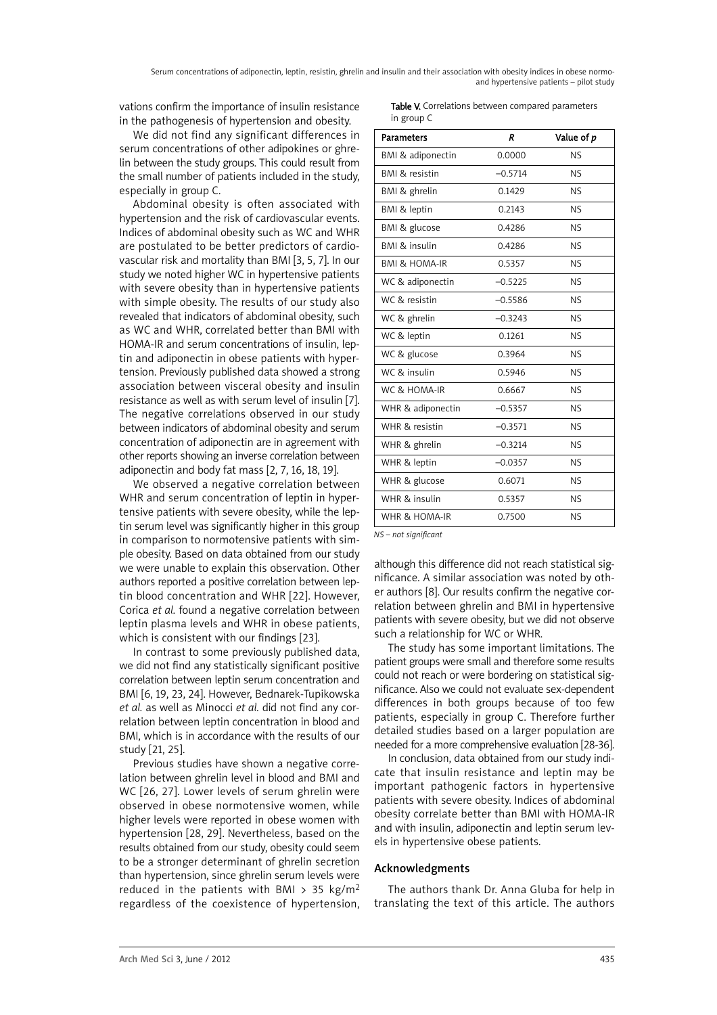vations confirm the importance of insulin resistance in the pathogenesis of hypertension and obesity.

We did not find any significant differences in serum concentrations of other adipokines or ghrelin between the study groups. This could result from the small number of patients included in the study, especially in group C.

Abdominal obesity is often associated with hypertension and the risk of cardiovascular events. Indices of abdominal obesity such as WC and WHR are postulated to be better predictors of cardiovascular risk and mortality than BMI [3, 5, 7]. In our study we noted higher WC in hypertensive patients with severe obesity than in hypertensive patients with simple obesity. The results of our study also revealed that indicators of abdominal obesity, such as WC and WHR, correlated better than BMI with HOMA-IR and serum concentrations of insulin, leptin and adiponectin in obese patients with hypertension. Previously published data showed a strong association between visceral obesity and insulin resistance as well as with serum level of insulin [7]. The negative correlations observed in our study between indicators of abdominal obesity and serum concentration of adiponectin are in agreement with other reports showing an inverse correlation between adiponectin and body fat mass [2, 7, 16, 18, 19].

We observed a negative correlation between WHR and serum concentration of leptin in hypertensive patients with severe obesity, while the leptin serum level was significantly higher in this group in comparison to normotensive patients with simple obesity. Based on data obtained from our study we were unable to explain this observation. Other authors reported a positive correlation between leptin blood concentration and WHR [22]. However, Corica *et al.* found a negative correlation between leptin plasma levels and WHR in obese patients, which is consistent with our findings [23].

In contrast to some previously published data, we did not find any statistically significant positive correlation between leptin serum concentration and BMI [6, 19, 23, 24]. However, Bednarek-Tupikowska *et al.* as well as Minocci *et al.* did not find any correlation between leptin concentration in blood and BMI, which is in accordance with the results of our study [21, 25].

Previous studies have shown a negative correlation between ghrelin level in blood and BMI and WC [26, 27]. Lower levels of serum ghrelin were observed in obese normotensive women, while higher levels were reported in obese women with hypertension [28, 29]. Nevertheless, based on the results obtained from our study, obesity could seem to be a stronger determinant of ghrelin secretion than hypertension, since ghrelin serum levels were reduced in the patients with BMI > 35 kg/m<sup>2</sup> regardless of the coexistence of hypertension, Table V. Correlations between compared parameters in group C

| <b>Parameters</b>        | R         | Value of p |
|--------------------------|-----------|------------|
| BMI & adiponectin        | 0.0000    | <b>NS</b>  |
| BMI & resistin           | $-0.5714$ | <b>NS</b>  |
| BMI & ghrelin            | 0.1429    | <b>NS</b>  |
| BMI & leptin             | 0.2143    | <b>NS</b>  |
| BMI & glucose            | 0.4286    | <b>NS</b>  |
| <b>BMI &amp; insulin</b> | 0.4286    | <b>NS</b>  |
| <b>BMI &amp; HOMA-IR</b> | 0.5357    | <b>NS</b>  |
| WC & adiponectin         | $-0.5225$ | <b>NS</b>  |
| WC & resistin            | $-0.5586$ | <b>NS</b>  |
| WC & ghrelin             | $-0.3243$ | <b>NS</b>  |
| WC & leptin              | 0.1261    | <b>NS</b>  |
| WC & glucose             | 0.3964    | <b>NS</b>  |
| WC & insulin             | 0.5946    | <b>NS</b>  |
| WC & HOMA-IR             | 0.6667    | <b>NS</b>  |
| WHR & adiponectin        | $-0.5357$ | <b>NS</b>  |
| WHR & resistin           | $-0.3571$ | <b>NS</b>  |
| WHR & ghrelin            | $-0.3214$ | <b>NS</b>  |
| WHR & leptin             | $-0.0357$ | <b>NS</b>  |
| WHR & glucose            | 0.6071    | <b>NS</b>  |
| WHR & insulin            | 0.5357    | <b>NS</b>  |
| WHR & HOMA-IR            | 0.7500    | <b>NS</b>  |

*NS – not significant*

although this difference did not reach statistical significance. A similar association was noted by other authors [8]. Our results confirm the negative correlation between ghrelin and BMI in hypertensive patients with severe obesity, but we did not observe such a relationship for WC or WHR.

The study has some important limitations. The patient groups were small and therefore some results could not reach or were bordering on statistical significance. Also we could not evaluate sex-dependent differences in both groups because of too few patients, especially in group C. Therefore further detailed studies based on a larger population are needed for a more comprehensive evaluation [28-36].

In conclusion, data obtained from our study indicate that insulin resistance and leptin may be important pathogenic factors in hypertensive patients with severe obesity. Indices of abdominal obesity correlate better than BMI with HOMA-IR and with insulin, adiponectin and leptin serum levels in hypertensive obese patients.

## Acknowledgments

The authors thank Dr. Anna Gluba for help in translating the text of this article. The authors